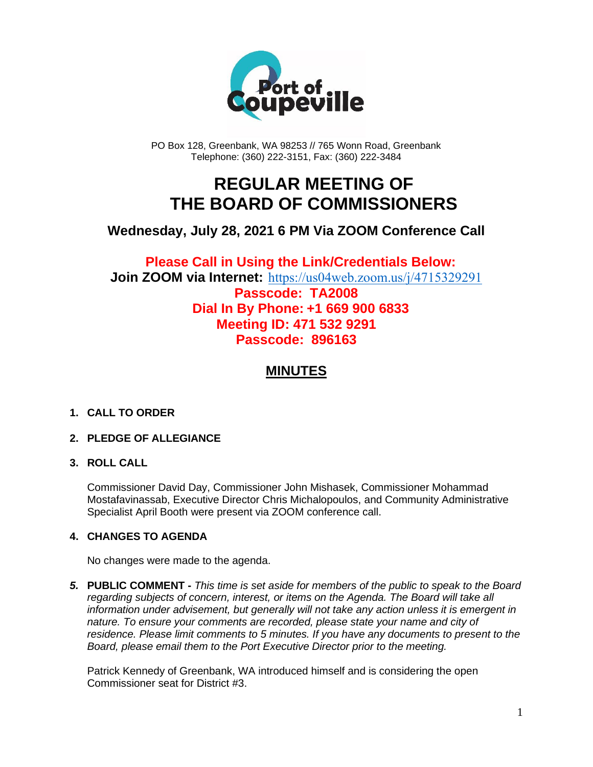

PO Box 128, Greenbank, WA 98253 // 765 Wonn Road, Greenbank Telephone: (360) 222-3151, Fax: (360) 222-3484

## **REGULAR MEETING OF THE BOARD OF COMMISSIONERS**

### **Wednesday, July 28, 2021 6 PM Via ZOOM Conference Call**

**Please Call in Using the Link/Credentials Below: Join ZOOM via Internet:** <https://us04web.zoom.us/j/4715329291> **Passcode: TA2008 Dial In By Phone: +1 669 900 6833 Meeting ID: 471 532 9291**

## **Passcode: 896163**

## **MINUTES**

#### **1. CALL TO ORDER**

#### **2. PLEDGE OF ALLEGIANCE**

#### **3. ROLL CALL**

Commissioner David Day, Commissioner John Mishasek, Commissioner Mohammad Mostafavinassab, Executive Director Chris Michalopoulos, and Community Administrative Specialist April Booth were present via ZOOM conference call.

#### **4. CHANGES TO AGENDA**

No changes were made to the agenda.

*5.* **PUBLIC COMMENT -** *This time is set aside for members of the public to speak to the Board regarding subjects of concern, interest, or items on the Agenda. The Board will take all information under advisement, but generally will not take any action unless it is emergent in nature. To ensure your comments are recorded, please state your name and city of residence. Please limit comments to 5 minutes. If you have any documents to present to the Board, please email them to the Port Executive Director prior to the meeting.*

Patrick Kennedy of Greenbank, WA introduced himself and is considering the open Commissioner seat for District #3.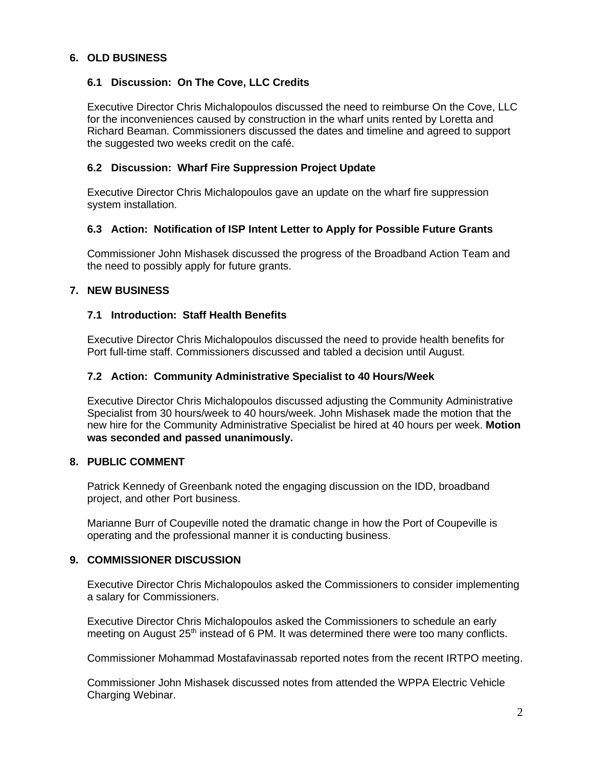#### **6. OLD BUSINESS**

#### **6.1 Discussion: On The Cove, LLC Credits**

Executive Director Chris Michalopoulos discussed the need to reimburse On the Cove, LLC for the inconveniences caused by construction in the wharf units rented by Loretta and Richard Beaman. Commissioners discussed the dates and timeline and agreed to support the suggested two weeks credit on the café.

#### **6.2 Discussion: Wharf Fire Suppression Project Update**

Executive Director Chris Michalopoulos gave an update on the wharf fire suppression system installation.

#### **6.3 Action: Notification of ISP Intent Letter to Apply for Possible Future Grants**

Commissioner John Mishasek discussed the progress of the Broadband Action Team and the need to possibly apply for future grants.

#### **7. NEW BUSINESS**

#### **7.1 Introduction: Staff Health Benefits**

Executive Director Chris Michalopoulos discussed the need to provide health benefits for Port full-time staff. Commissioners discussed and tabled a decision until August.

#### **7.2 Action: Community Administrative Specialist to 40 Hours/Week**

Executive Director Chris Michalopoulos discussed adjusting the Community Administrative Specialist from 30 hours/week to 40 hours/week. John Mishasek made the motion that the new hire for the Community Administrative Specialist be hired at 40 hours per week. **Motion was seconded and passed unanimously.**

#### **8. PUBLIC COMMENT**

Patrick Kennedy of Greenbank noted the engaging discussion on the IDD, broadband project, and other Port business.

Marianne Burr of Coupeville noted the dramatic change in how the Port of Coupeville is operating and the professional manner it is conducting business.

#### **9. COMMISSIONER DISCUSSION**

Executive Director Chris Michalopoulos asked the Commissioners to consider implementing a salary for Commissioners.

Executive Director Chris Michalopoulos asked the Commissioners to schedule an early meeting on August 25<sup>th</sup> instead of 6 PM. It was determined there were too many conflicts.

Commissioner Mohammad Mostafavinassab reported notes from the recent IRTPO meeting.

Commissioner John Mishasek discussed notes from attended the WPPA Electric Vehicle Charging Webinar.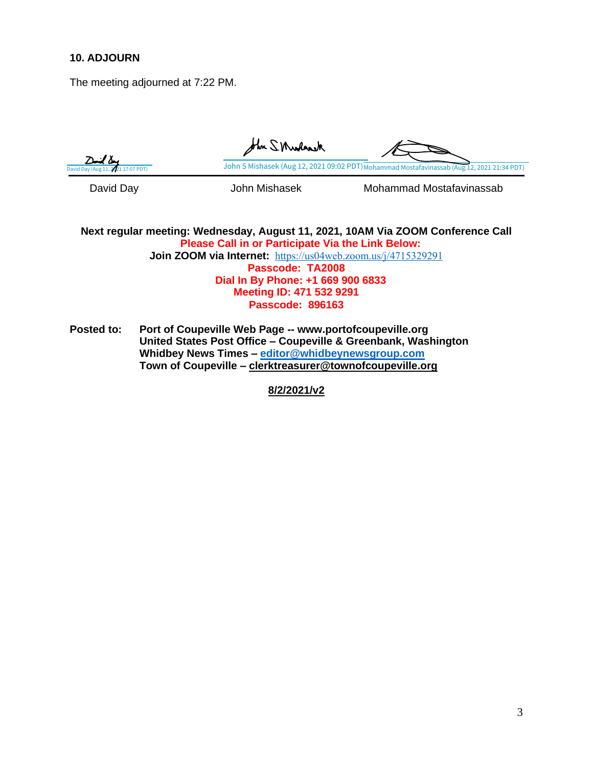#### **10. ADJOURN**

The meeting adjourned at 7:22 PM.

John S. Muslansk /≟∆7 [John S Mishasek \(Aug 12, 2021 09:02 PDT\)](https://na3.documents.adobe.com/verifier?tx=CBJCHBCAABAAVUsZEZjJvdwEeeb2bY6Y3cQT7xUmW5rd) [Mohammad Mostafavinassab \(Aug 12, 2021 21:34 PDT\)](https://na3.documents.adobe.com/verifier?tx=CBJCHBCAABAAVUsZEZjJvdwEeeb2bY6Y3cQT7xUmW5rd) David Day **David Day** John Mishasek Mohammad Mostafavinassab

#### **Next regular meeting: Wednesday, August 11, 2021, 10AM Via ZOOM Conference Call Please Call in or Participate Via the Link Below: Join ZOOM via Internet:** <https://us04web.zoom.us/j/4715329291> **Passcode: TA2008 Dial In By Phone: +1 669 900 6833 Meeting ID: 471 532 9291 Passcode: 896163**

**Posted to: Port of Coupeville Web Page -- www.portofcoupeville.org United States Post Office – Coupeville & Greenbank, Washington Whidbey News Times – [editor@whidbeynewsgroup.com](mailto:editor@whidbeynewsgroup.com) Town of Coupeville – [clerktreasurer@townofcoupeville.org](mailto:clerktreasurer@townofcoupeville.org)**

**8/2/2021/v2**